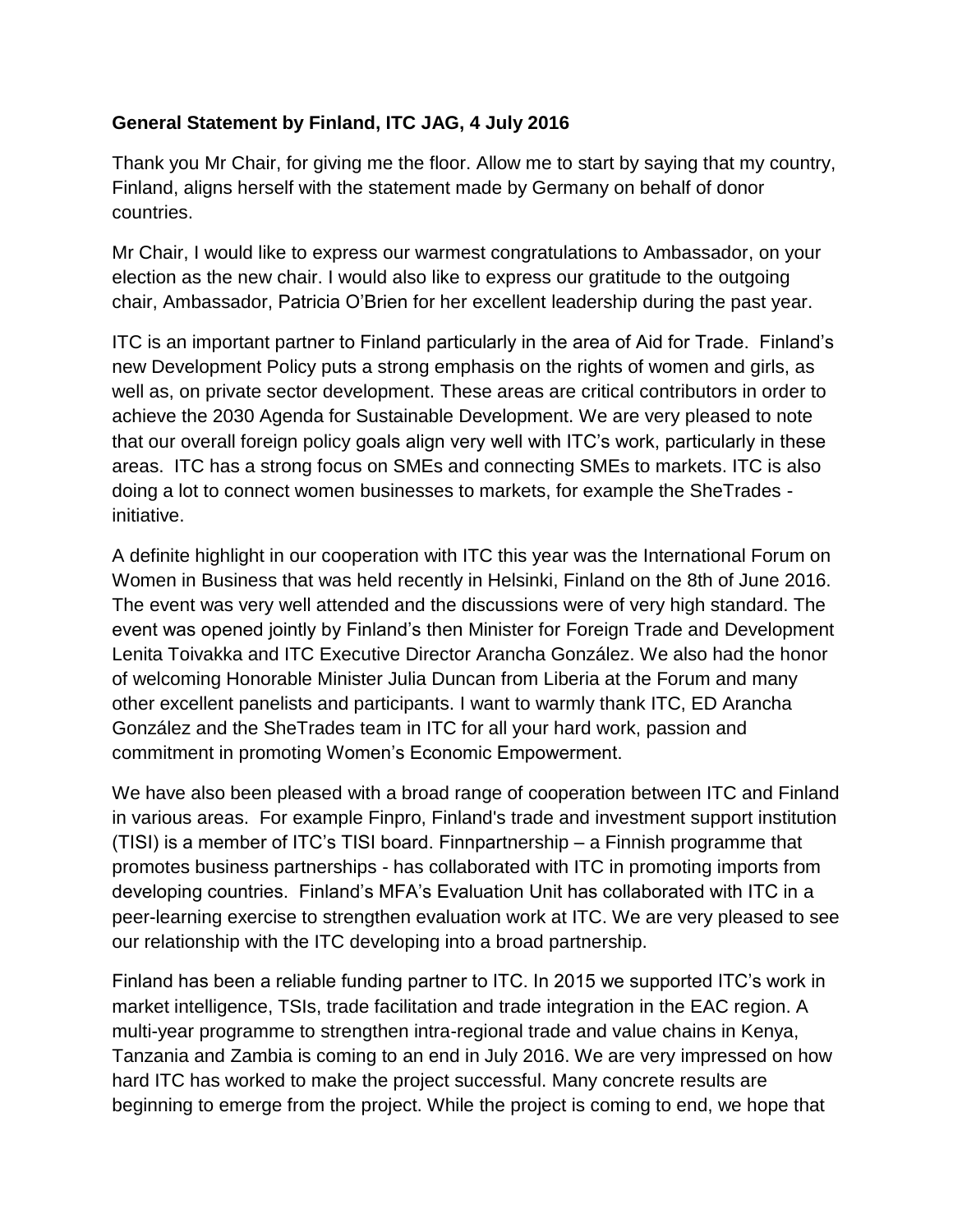## **General Statement by Finland, ITC JAG, 4 July 2016**

Thank you Mr Chair, for giving me the floor. Allow me to start by saying that my country, Finland, aligns herself with the statement made by Germany on behalf of donor countries.

Mr Chair, I would like to express our warmest congratulations to Ambassador, on your election as the new chair. I would also like to express our gratitude to the outgoing chair, Ambassador, Patricia O'Brien for her excellent leadership during the past year.

ITC is an important partner to Finland particularly in the area of Aid for Trade. Finland's new Development Policy puts a strong emphasis on the rights of women and girls, as well as, on private sector development. These areas are critical contributors in order to achieve the 2030 Agenda for Sustainable Development. We are very pleased to note that our overall foreign policy goals align very well with ITC's work, particularly in these areas. ITC has a strong focus on SMEs and connecting SMEs to markets. ITC is also doing a lot to connect women businesses to markets, for example the SheTrades initiative.

A definite highlight in our cooperation with ITC this year was the International Forum on Women in Business that was held recently in Helsinki, Finland on the 8th of June 2016. The event was very well attended and the discussions were of very high standard. The event was opened jointly by Finland's then Minister for Foreign Trade and Development Lenita Toivakka and ITC Executive Director Arancha González. We also had the honor of welcoming Honorable Minister Julia Duncan from Liberia at the Forum and many other excellent panelists and participants. I want to warmly thank ITC, ED Arancha González and the SheTrades team in ITC for all your hard work, passion and commitment in promoting Women's Economic Empowerment.

We have also been pleased with a broad range of cooperation between ITC and Finland in various areas. For example Finpro, Finland's trade and investment support institution (TISI) is a member of ITC's TISI board. Finnpartnership – a Finnish programme that promotes business partnerships - has collaborated with ITC in promoting imports from developing countries. Finland's MFA's Evaluation Unit has collaborated with ITC in a peer-learning exercise to strengthen evaluation work at ITC. We are very pleased to see our relationship with the ITC developing into a broad partnership.

Finland has been a reliable funding partner to ITC. In 2015 we supported ITC's work in market intelligence, TSIs, trade facilitation and trade integration in the EAC region. A multi-year programme to strengthen intra-regional trade and value chains in Kenya, Tanzania and Zambia is coming to an end in July 2016. We are very impressed on how hard ITC has worked to make the project successful. Many concrete results are beginning to emerge from the project. While the project is coming to end, we hope that